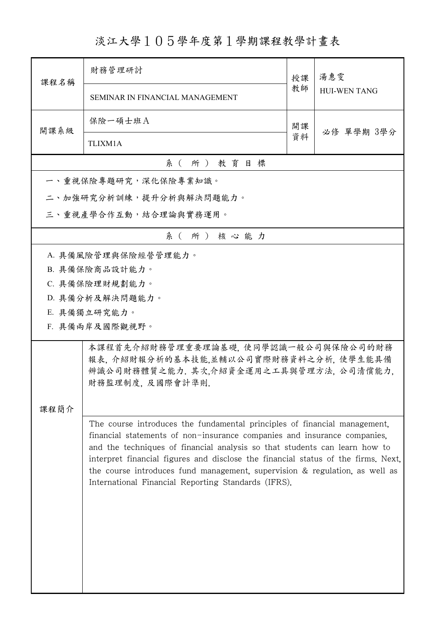淡江大學105學年度第1學期課程教學計畫表

| 課程名稱                  | 財務管理研討                                                                                                                                                                                                                                                                                                                                                                                                                                                         | 授課 | 湯惠雯<br><b>HUI-WEN TANG</b> |  |
|-----------------------|----------------------------------------------------------------------------------------------------------------------------------------------------------------------------------------------------------------------------------------------------------------------------------------------------------------------------------------------------------------------------------------------------------------------------------------------------------------|----|----------------------------|--|
|                       | <b>SEMINAR IN FINANCIAL MANAGEMENT</b>                                                                                                                                                                                                                                                                                                                                                                                                                         | 教師 |                            |  |
| 開課系級                  | 保險一碩士班A                                                                                                                                                                                                                                                                                                                                                                                                                                                        | 開課 | 必修 單學期 3學分                 |  |
|                       | TLIXM1A                                                                                                                                                                                                                                                                                                                                                                                                                                                        | 資料 |                            |  |
|                       | 系(所)教育目標                                                                                                                                                                                                                                                                                                                                                                                                                                                       |    |                            |  |
|                       | 一、重視保險專題研究,深化保險專業知識。                                                                                                                                                                                                                                                                                                                                                                                                                                           |    |                            |  |
|                       | 二、加強研究分析訓練,提升分析與解決問題能力。                                                                                                                                                                                                                                                                                                                                                                                                                                        |    |                            |  |
| 三、重視產學合作互動,結合理論與實務運用。 |                                                                                                                                                                                                                                                                                                                                                                                                                                                                |    |                            |  |
|                       | 系(所)核心能力                                                                                                                                                                                                                                                                                                                                                                                                                                                       |    |                            |  |
|                       | A. 具備風險管理與保險經營管理能力。                                                                                                                                                                                                                                                                                                                                                                                                                                            |    |                            |  |
|                       | B. 具備保險商品設計能力。                                                                                                                                                                                                                                                                                                                                                                                                                                                 |    |                            |  |
|                       | C. 具備保險理財規劃能力。                                                                                                                                                                                                                                                                                                                                                                                                                                                 |    |                            |  |
|                       | D. 具備分析及解決問題能力。                                                                                                                                                                                                                                                                                                                                                                                                                                                |    |                            |  |
|                       | E. 具備獨立研究能力。                                                                                                                                                                                                                                                                                                                                                                                                                                                   |    |                            |  |
|                       | F. 具備兩岸及國際觀視野。                                                                                                                                                                                                                                                                                                                                                                                                                                                 |    |                            |  |
|                       | 本課程首先介紹財務管理重要理論基礎, 使同學認識一般公司與保險公司的財務<br>報表, 介紹財報分析的基本技能,並輔以公司實際財務資料之分析, 使學生能具備<br>辨識公司財務體質之能力. 其次,介紹資金運用之工具與管理方法, 公司清償能力,<br>財務監理制度, 及國際會計準則                                                                                                                                                                                                                                                                                                                   |    |                            |  |
| 課程簡介                  |                                                                                                                                                                                                                                                                                                                                                                                                                                                                |    |                            |  |
|                       | The course introduces the fundamental principles of financial management.<br>financial statements of non-insurance companies and insurance companies.<br>and the techniques of financial analysis so that students can learn how to<br>interpret financial figures and disclose the financial status of the firms. Next,<br>the course introduces fund management, supervision & regulation, as well as<br>International Financial Reporting Standards (IFRS). |    |                            |  |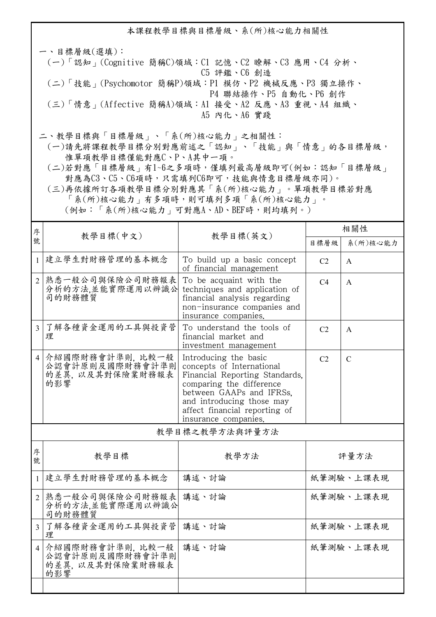本課程教學目標與目標層級、系(所)核心能力相關性

一、目標層級(選填): (一)「認知」(Cognitive 簡稱C)領域:C1 記憶、C2 瞭解、C3 應用、C4 分析、 C5 評鑑、C6 創造 (二)「技能」(Psychomotor 簡稱P)領域:P1 模仿、P2 機械反應、P3 獨立操作、 P4 聯結操作、P5 自動化、P6 創作 (三)「情意」(Affective 簡稱A)領域:A1 接受、A2 反應、A3 重視、A4 組織、 A5 內化、A6 實踐

二、教學目標與「目標層級」、「系(所)核心能力」之相關性:

 (一)請先將課程教學目標分別對應前述之「認知」、「技能」與「情意」的各目標層級, 惟單項教學目標僅能對應C、P、A其中一項。

 (二)若對應「目標層級」有1~6之多項時,僅填列最高層級即可(例如:認知「目標層級」 對應為C3、C5、C6項時,只需填列C6即可,技能與情意目標層級亦同)。

 (三)再依據所訂各項教學目標分別對應其「系(所)核心能力」。單項教學目標若對應 「系(所)核心能力」有多項時,則可填列多項「系(所)核心能力」。

(例如:「系(所)核心能力」可對應A、AD、BEF時,則均填列。)

| 序              | 教學目標(中文)                                                       |                                                                                                                                                                                                                                    | 相關性            |               |
|----------------|----------------------------------------------------------------|------------------------------------------------------------------------------------------------------------------------------------------------------------------------------------------------------------------------------------|----------------|---------------|
| 號              |                                                                | 教學目標(英文)                                                                                                                                                                                                                           | 目標層級           | 系(所)核心能力      |
|                | 1 建立學生對財務管理的基本概念                                               | To build up a basic concept<br>of financial management                                                                                                                                                                             | C <sub>2</sub> | $\mathsf{A}$  |
| $\mathcal{D}$  | 熟悉一般公司與保險公司財務報表<br>分析的方法,並能實際運用以辨識公<br>司的財務體質                  | To be acquaint with the<br>techniques and application of<br>financial analysis regarding<br>non-insurance companies and<br>insurance companies.                                                                                    | C4             | $\mathsf{A}$  |
| $\mathcal{E}$  | 了解各種資金運用的工具與投資管<br>理                                           | To understand the tools of<br>financial market and<br>investment management                                                                                                                                                        | C <sub>2</sub> | $\mathsf{A}$  |
| $\overline{4}$ | 介紹國際財務會計準則, 比較一般<br>公認會計原則及國際財務會計準則<br>的差異, 以及其對保險業財務報表<br>的影響 | Introducing the basic<br>concepts of International<br>Financial Reporting Standards.<br>comparing the difference<br>between GAAPs and IFRSs.<br>and introducing those may<br>affect financial reporting of<br>insurance companies. | C <sub>2</sub> | $\mathcal{C}$ |
| 教學目標之教學方法與評量方法 |                                                                |                                                                                                                                                                                                                                    |                |               |
|                |                                                                |                                                                                                                                                                                                                                    |                |               |

| 序<br>號         | 教學目標                                                           | 教學方法  | 評量方法      |
|----------------|----------------------------------------------------------------|-------|-----------|
|                | 建立學生對財務管理的基本概念                                                 | 講述、討論 | 紙筆測驗、上課表現 |
| $\overline{2}$ | 熟悉一般公司與保險公司財務報表 <br>分析的方法,並能實際運用以辨識公<br>司的財務體質                 | 講述、討論 | 紙筆測驗、上課表現 |
| $\mathcal{E}$  | 了解各種資金運用的工具與投資管<br>理                                           | 講述、討論 | 紙筆測驗、上課表現 |
| $\overline{4}$ | 介紹國際財務會計準則, 比較一般<br>公認會計原則及國際財務會計準則<br>的差異, 以及其對保險業財務報表<br>的影響 | 講述、討論 | 紙筆測驗、上課表現 |
|                |                                                                |       |           |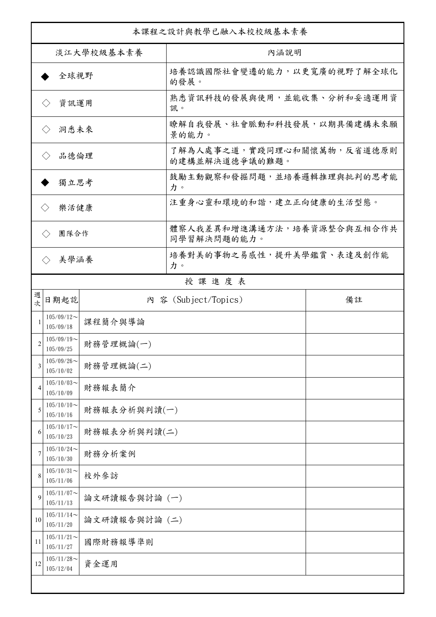| 本課程之設計與教學已融入本校校級基本素養        |                                            |               |                                              |    |  |
|-----------------------------|--------------------------------------------|---------------|----------------------------------------------|----|--|
| 淡江大學校級基本素養                  |                                            |               | 內涵說明                                         |    |  |
| 全球視野                        |                                            |               | 培養認識國際社會變遷的能力,以更寬廣的視野了解全球化<br>的發展。           |    |  |
| 資訊運用<br>$\langle \ \rangle$ |                                            |               | 熟悉資訊科技的發展與使用,並能收集、分析和妥適運用資<br>訊。             |    |  |
| $\langle \ \rangle$         | 洞悉未來                                       |               | 瞭解自我發展、社會脈動和科技發展,以期具備建構未來願<br>景的能力。          |    |  |
| 品德倫理                        |                                            |               | 了解為人處事之道,實踐同理心和關懷萬物,反省道德原則<br>的建構並解決道德爭議的難題。 |    |  |
| 獨立思考                        |                                            |               | 鼓勵主動觀察和發掘問題,並培養邏輯推理與批判的思考能<br>力。             |    |  |
| 樂活健康<br>$\langle \rangle$   |                                            |               | 注重身心靈和環境的和諧,建立正向健康的生活型態。                     |    |  |
| 團隊合作<br>$\langle \ \rangle$ |                                            |               | 體察人我差異和增進溝通方法,培養資源整合與互相合作共<br>同學習解決問題的能力。    |    |  |
| $\langle \rangle$           | 美學涵養                                       |               | 培養對美的事物之易感性,提升美學鑑賞、表達及創作能<br>力。              |    |  |
|                             |                                            |               | 授課進度表                                        |    |  |
| 週<br>欤                      | 日期起訖                                       |               | 内 容 (Subject/Topics)                         | 備註 |  |
|                             | $105/09/12$ ~<br>105/09/18                 | 課程簡介與導論       |                                              |    |  |
| 2                           | $105/09/19$ ~<br>105/09/25                 | 財務管理概論(一)     |                                              |    |  |
| 3                           | $105/09/26$ ~<br>105/10/02                 | 財務管理概論(二)     |                                              |    |  |
| 4                           | $105/10/03$ ~<br>105/10/09                 | 財務報表簡介        |                                              |    |  |
| 5                           | $105/10/10$ ~<br>財務報表分析與判讀(一)<br>105/10/16 |               |                                              |    |  |
| 6                           | $105/10/17$ ~<br>財務報表分析與判讀(二)<br>105/10/23 |               |                                              |    |  |
| 7                           | $105/10/24$ ~<br>105/10/30                 | 財務分析案例        |                                              |    |  |
| 8                           | $105/10/31$ ~<br>105/11/06                 | 校外參訪          |                                              |    |  |
| 9                           | $105/11/07$ ~<br>105/11/13                 | 論文研讀報告與討論 (一) |                                              |    |  |
| 10                          | $105/11/14$ ~<br>105/11/20                 | 論文研讀報告與討論 (二) |                                              |    |  |
| 11                          | $105/11/21$ ~<br>105/11/27                 | 國際財務報導準則      |                                              |    |  |
| 12                          | $105/11/28$ ~<br>105/12/04                 | 資金運用          |                                              |    |  |
|                             |                                            |               |                                              |    |  |